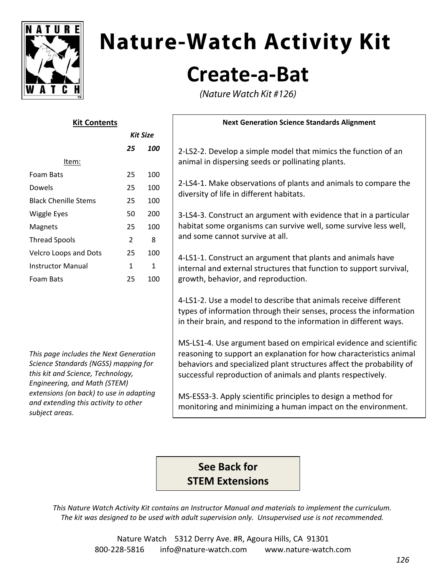

# **Nature-Watch Activity Kit Create‐a‐Bat**

(Nature Watch Kit #126)

| <b>Kit Contents</b><br><b>Kit Size</b> |                |              | <b>Next Generation Science Standards Alignment</b>                                                                                                                                                         |       |    |     |                                                                |
|----------------------------------------|----------------|--------------|------------------------------------------------------------------------------------------------------------------------------------------------------------------------------------------------------------|-------|----|-----|----------------------------------------------------------------|
|                                        |                |              |                                                                                                                                                                                                            |       | 25 | 100 | 2-LS2-2. Develop a simple model that mimics the function of an |
|                                        |                |              |                                                                                                                                                                                                            | Item: |    |     | animal in dispersing seeds or pollinating plants.              |
| Foam Bats                              | 25             | 100          | 2-LS4-1. Make observations of plants and animals to compare the<br>diversity of life in different habitats.                                                                                                |       |    |     |                                                                |
| Dowels                                 | 25             | 100          |                                                                                                                                                                                                            |       |    |     |                                                                |
| <b>Black Chenille Stems</b>            | 25             | 100          |                                                                                                                                                                                                            |       |    |     |                                                                |
| <b>Wiggle Eyes</b>                     | 50             | 200          | 3-LS4-3. Construct an argument with evidence that in a particular<br>habitat some organisms can survive well, some survive less well,<br>and some cannot survive at all.                                   |       |    |     |                                                                |
| Magnets                                | 25             | 100          |                                                                                                                                                                                                            |       |    |     |                                                                |
| <b>Thread Spools</b>                   | $\overline{2}$ | 8            |                                                                                                                                                                                                            |       |    |     |                                                                |
| Velcro Loops and Dots                  | 25             | 100          | 4-LS1-1. Construct an argument that plants and animals have<br>internal and external structures that function to support survival,<br>growth, behavior, and reproduction.                                  |       |    |     |                                                                |
| <b>Instructor Manual</b>               | 1              | $\mathbf{1}$ |                                                                                                                                                                                                            |       |    |     |                                                                |
| Foam Bats                              | 25             | 100          |                                                                                                                                                                                                            |       |    |     |                                                                |
|                                        |                |              | 4-LS1-2. Use a model to describe that animals receive different<br>types of information through their senses, process the information<br>in their brain, and respond to the information in different ways. |       |    |     |                                                                |

MS‐LS1‐4. Use argument based on empirical evidence and scientific reasoning to support an explanation for how characteristics animal behaviors and specialized plant structures affect the probability of successful reproduction of animals and plants respectively.

MS‐ESS3‐3. Apply scientific principles to design a method for monitoring and minimizing a human impact on the environment.

### **See Back for STEM Extensions**

*This Nature Watch Activity Kit contains an Instructor Manual and materials to implement the curriculum. The kit was designed to be used with adult supervision only. Unsupervised use is not recommended.*

*This page includes the Next Generation Science Standards (NGSS) mapping for this kit and Science, Technology, Engineering, and Math (STEM) extensions (on back) to use in adapting and extending this activity to other subject areas.*